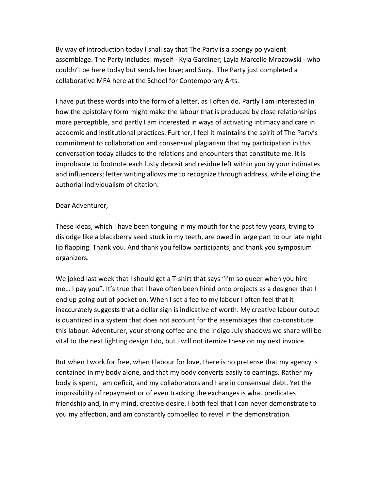By way of introduction today I shall say that The Party is a spongy polyvalent assemblage. The Party includes: myself - Kyla Gardiner; Layla Marcelle Mrozowski - who couldn't be here today but sends her love; and Suzy. The Party just completed a collaborative MFA here at the School for Contemporary Arts.

I have put these words into the form of a letter, as I often do. Partly I am interested in how the epistolary form might make the labour that is produced by close relationships more perceptible, and partly I am interested in ways of activating intimacy and care in academic and institutional practices. Further, I feel it maintains the spirit of The Party's commitment to collaboration and consensual plagiarism that my participation in this conversation today alludes to the relations and encounters that constitute me. It is improbable to footnote each lusty deposit and residue left within you by your intimates and influencers; letter writing allows me to recognize through address, while eliding the authorial individualism of citation.

## Dear Adventurer.

These ideas, which I have been tonguing in my mouth for the past few years, trying to dislodge like a blackberry seed stuck in my teeth, are owed in large part to our late night lip flapping. Thank you. And thank you fellow participants, and thank you symposium organizers. 

We joked last week that I should get a T-shirt that says "I'm so queer when you hire me... I pay you". It's true that I have often been hired onto projects as a designer that I end up going out of pocket on. When I set a fee to my labour I often feel that it inaccurately suggests that a dollar sign is indicative of worth. My creative labour output is quantized in a system that does not account for the assemblages that co-constitute this labour. Adventurer, your strong coffee and the indigo July shadows we share will be vital to the next lighting design  $I$  do, but  $I$  will not itemize these on my next invoice.

But when I work for free, when I labour for love, there is no pretense that my agency is contained in my body alone, and that my body converts easily to earnings. Rather my body is spent, I am deficit, and my collaborators and I are in consensual debt. Yet the impossibility of repayment or of even tracking the exchanges is what predicates friendship and, in my mind, creative desire. I both feel that I can never demonstrate to you my affection, and am constantly compelled to revel in the demonstration.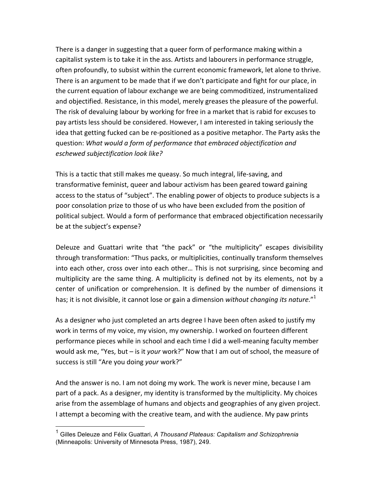There is a danger in suggesting that a queer form of performance making within a capitalist system is to take it in the ass. Artists and labourers in performance struggle, often profoundly, to subsist within the current economic framework, let alone to thrive. There is an argument to be made that if we don't participate and fight for our place, in the current equation of labour exchange we are being commoditized, instrumentalized and objectified. Resistance, in this model, merely greases the pleasure of the powerful. The risk of devaluing labour by working for free in a market that is rabid for excuses to pay artists less should be considered. However, I am interested in taking seriously the idea that getting fucked can be re-positioned as a positive metaphor. The Party asks the question: What would a form of performance that embraced objectification and *eschewed subjectification look like?* 

This is a tactic that still makes me queasy. So much integral, life-saving, and transformative feminist, queer and labour activism has been geared toward gaining access to the status of "subject". The enabling power of objects to produce subjects is a poor consolation prize to those of us who have been excluded from the position of political subject. Would a form of performance that embraced objectification necessarily be at the subject's expense?

Deleuze and Guattari write that "the pack" or "the multiplicity" escapes divisibility through transformation: "Thus packs, or multiplicities, continually transform themselves into each other, cross over into each other... This is not surprising, since becoming and multiplicity are the same thing. A multiplicity is defined not by its elements, not by a center of unification or comprehension. It is defined by the number of dimensions it has; it is not divisible, it cannot lose or gain a dimension *without changing its nature."*<sup>1</sup>

As a designer who just completed an arts degree I have been often asked to justify my work in terms of my voice, my vision, my ownership. I worked on fourteen different performance pieces while in school and each time I did a well-meaning faculty member would ask me, "Yes, but – is it *your* work?" Now that I am out of school, the measure of success is still "Are you doing your work?"

And the answer is no. I am not doing my work. The work is never mine, because I am part of a pack. As a designer, my identity is transformed by the multiplicity. My choices arise from the assemblage of humans and objects and geographies of any given project. I attempt a becoming with the creative team, and with the audience. My paw prints

 <sup>1</sup> Gilles Deleuze and Félix Guattari, *A Thousand Plateaus: Capitalism and Schizophrenia* (Minneapolis: University of Minnesota Press, 1987), 249.